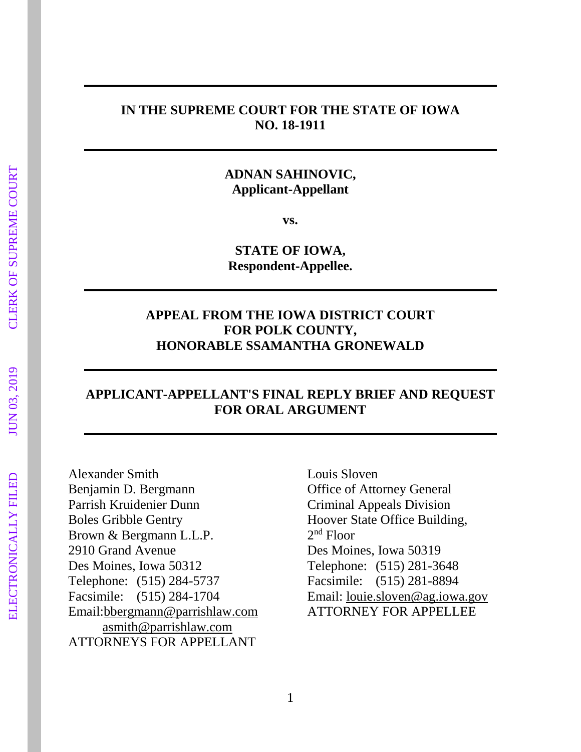#### **IN THE SUPREME COURT FOR THE STATE OF IOWA NO. 18-1911**

## **ADNAN SAHINOVIC, Applicant-Appellant**

**vs.**

**STATE OF IOWA, Respondent-Appellee.**

## **APPEAL FROM THE IOWA DISTRICT COURT FOR POLK COUNTY, HONORABLE SSAMANTHA GRONEWALD**

## **APPLICANT-APPELLANT'S FINAL REPLY BRIEF AND REQUEST FOR ORAL ARGUMENT**

Alexander Smith Benjamin D. Bergmann Parrish Kruidenier Dunn Boles Gribble Gentry Brown & Bergmann L.L.P. 2910 Grand Avenue Des Moines, Iowa 50312 Telephone: (515) 284-5737 Facsimile: (515) 284-1704 Email[:bbergmann@parrishlaw.com](mailto:bbergmann@parrishlaw.com) [asmith@parrishlaw.com](mailto:asmith@parrishlaw.com) ATTORNEYS FOR APPELLANT

Louis Sloven Office of Attorney General Criminal Appeals Division Hoover State Office Building, 2 nd Floor Des Moines, Iowa 50319 Telephone: (515) 281-3648 Facsimile: (515) 281-8894 Email: [louie.sloven@ag.iowa.gov](mailto:louie.sloven@ag.iowa.gov)  ATTORNEY FOR APPELLEE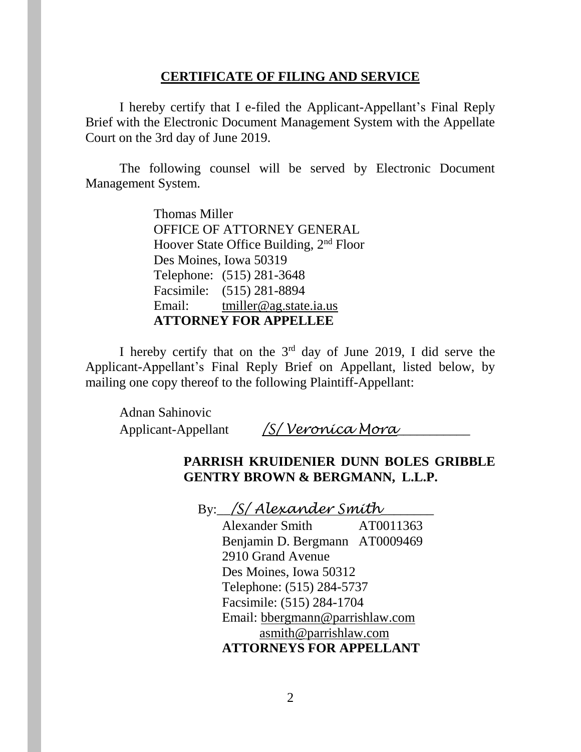#### **CERTIFICATE OF FILING AND SERVICE**

I hereby certify that I e-filed the Applicant-Appellant's Final Reply Brief with the Electronic Document Management System with the Appellate Court on the 3rd day of June 2019.

The following counsel will be served by Electronic Document Management System.

> Thomas Miller OFFICE OF ATTORNEY GENERAL Hoover State Office Building, 2nd Floor Des Moines, Iowa 50319 Telephone: (515) 281-3648 Facsimile: (515) 281-8894 Email: [tmiller@ag.state.ia.us](mailto:tmiller@ag.state.ia.us) **ATTORNEY FOR APPELLEE**

I hereby certify that on the  $3<sup>rd</sup>$  day of June 2019, I did serve the Applicant-Appellant's Final Reply Brief on Appellant, listed below, by mailing one copy thereof to the following Plaintiff-Appellant:

Adnan Sahinovic Applicant-Appellant */S/ Veronica Mora*\_\_\_\_\_\_\_\_\_\_\_

## **PARRISH KRUIDENIER DUNN BOLES GRIBBLE GENTRY BROWN & BERGMANN, L.L.P.**

By:\_\_*/S/ Alexander Smith*\_\_\_\_\_\_\_\_

Alexander Smith AT0011363 Benjamin D. Bergmann AT0009469 2910 Grand Avenue Des Moines, Iowa 50312 Telephone: (515) 284-5737 Facsimile: (515) 284-1704 Email: [bbergmann@parrishlaw.com](mailto:bbergmann@parrishlaw.com) [asmith@parrishlaw.com](mailto:asmith@parrishlaw.com) **ATTORNEYS FOR APPELLANT**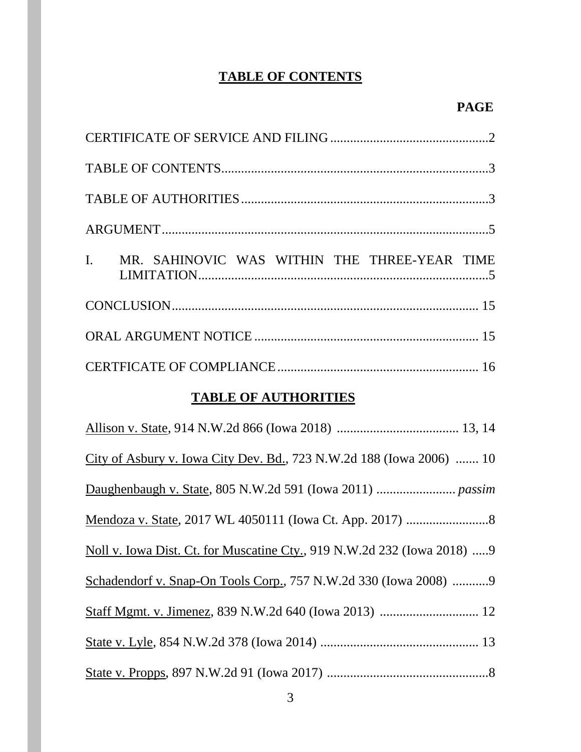# **TABLE OF CONTENTS**

| MR. SAHINOVIC WAS WITHIN THE THREE-YEAR TIME<br>I.                      |
|-------------------------------------------------------------------------|
|                                                                         |
|                                                                         |
|                                                                         |
| <b>TABLE OF AUTHORITIES</b>                                             |
|                                                                         |
| City of Asbury v. Iowa City Dev. Bd., 723 N.W.2d 188 (Iowa 2006)  10    |
|                                                                         |
|                                                                         |
| Noll v. Iowa Dist. Ct. for Muscatine Cty., 919 N.W.2d 232 (Iowa 2018) 9 |
| Schadendorf v. Snap-On Tools Corp., 757 N.W.2d 330 (Iowa 2008) 9        |
|                                                                         |
|                                                                         |

State v. Propps, 897 N.W.2d 91 (Iowa 2017) .................................................8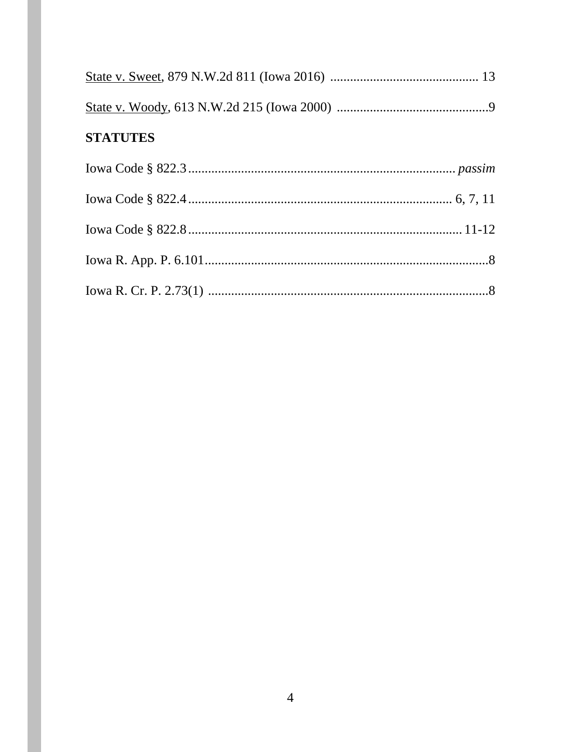| <b>STATUTES</b> |  |
|-----------------|--|
|                 |  |
|                 |  |
|                 |  |
|                 |  |
|                 |  |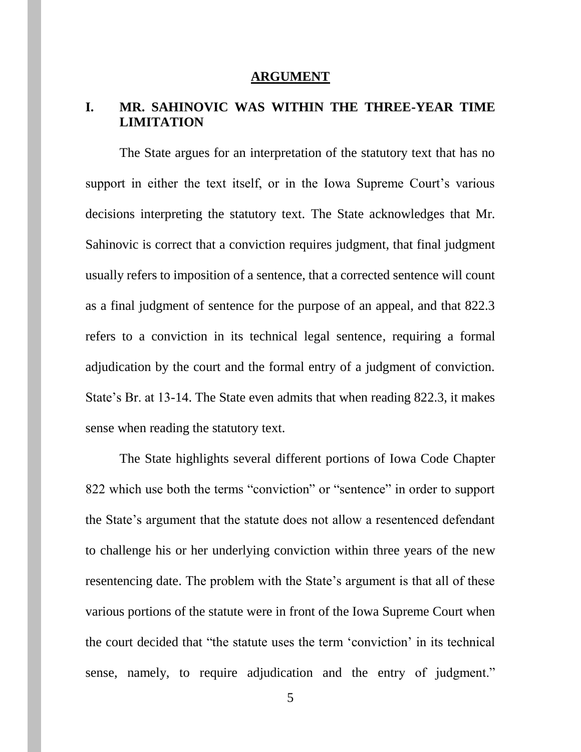#### **ARGUMENT**

## **I. MR. SAHINOVIC WAS WITHIN THE THREE-YEAR TIME LIMITATION**

The State argues for an interpretation of the statutory text that has no support in either the text itself, or in the Iowa Supreme Court's various decisions interpreting the statutory text. The State acknowledges that Mr. Sahinovic is correct that a conviction requires judgment, that final judgment usually refers to imposition of a sentence, that a corrected sentence will count as a final judgment of sentence for the purpose of an appeal, and that 822.3 refers to a conviction in its technical legal sentence, requiring a formal adjudication by the court and the formal entry of a judgment of conviction. State's Br. at 13-14. The State even admits that when reading 822.3, it makes sense when reading the statutory text.

The State highlights several different portions of Iowa Code Chapter 822 which use both the terms "conviction" or "sentence" in order to support the State's argument that the statute does not allow a resentenced defendant to challenge his or her underlying conviction within three years of the new resentencing date. The problem with the State's argument is that all of these various portions of the statute were in front of the Iowa Supreme Court when the court decided that "the statute uses the term 'conviction' in its technical sense, namely, to require adjudication and the entry of judgment."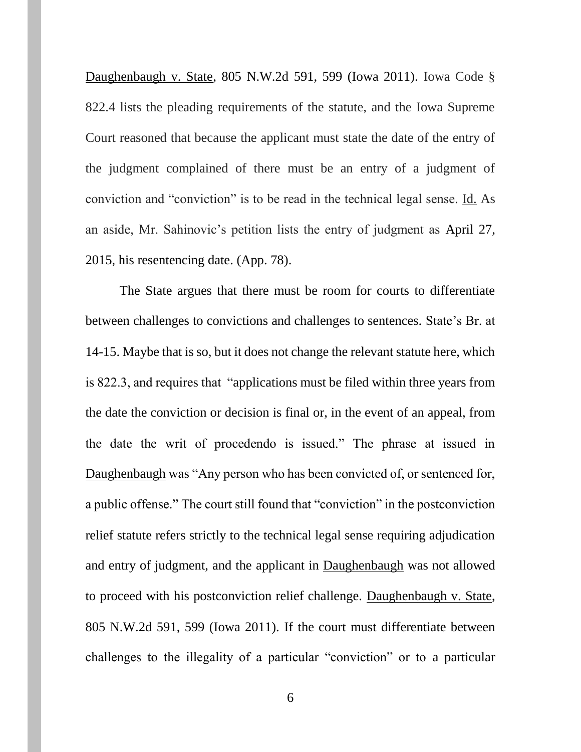Daughenbaugh v. State, 805 N.W.2d 591, 599 (Iowa 2011). Iowa Code § 822.4 lists the pleading requirements of the statute, and the Iowa Supreme Court reasoned that because the applicant must state the date of the entry of the judgment complained of there must be an entry of a judgment of conviction and "conviction" is to be read in the technical legal sense. Id. As an aside, Mr. Sahinovic's petition lists the entry of judgment as April 27, 2015, his resentencing date. (App. 78).

The State argues that there must be room for courts to differentiate between challenges to convictions and challenges to sentences. State's Br. at 14-15. Maybe that is so, but it does not change the relevant statute here, which is 822.3, and requires that "applications must be filed within three years from the date the conviction or decision is final or, in the event of an appeal, from the date the writ of procedendo is issued." The phrase at issued in Daughenbaugh was "Any person who has been convicted of, or sentenced for, a public offense." The court still found that "conviction" in the postconviction relief statute refers strictly to the technical legal sense requiring adjudication and entry of judgment, and the applicant in Daughenbaugh was not allowed to proceed with his postconviction relief challenge. Daughenbaugh v. State, 805 N.W.2d 591, 599 (Iowa 2011). If the court must differentiate between challenges to the illegality of a particular "conviction" or to a particular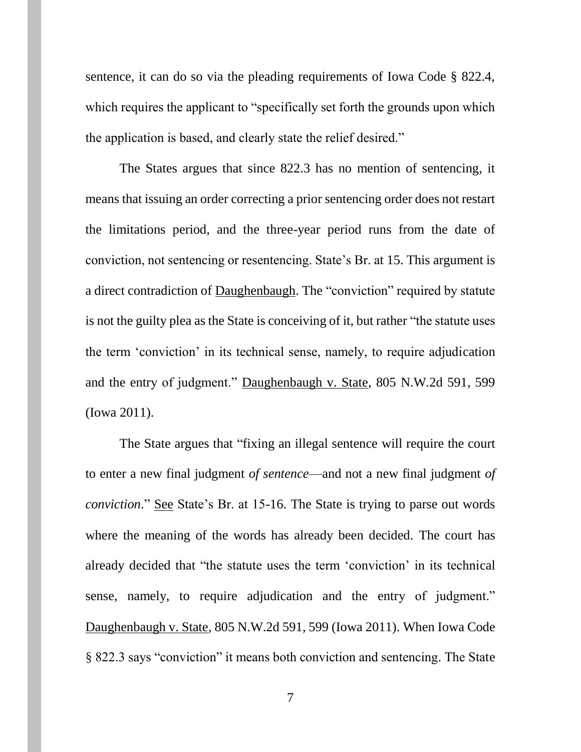sentence, it can do so via the pleading requirements of Iowa Code § 822.4, which requires the applicant to "specifically set forth the grounds upon which the application is based, and clearly state the relief desired."

The States argues that since 822.3 has no mention of sentencing, it means that issuing an order correcting a prior sentencing order does not restart the limitations period, and the three-year period runs from the date of conviction, not sentencing or resentencing. State's Br. at 15. This argument is a direct contradiction of Daughenbaugh. The "conviction" required by statute is not the guilty plea as the State is conceiving of it, but rather "the statute uses the term 'conviction' in its technical sense, namely, to require adjudication and the entry of judgment." Daughenbaugh v. State, 805 N.W.2d 591, 599 (Iowa 2011).

The State argues that "fixing an illegal sentence will require the court to enter a new final judgment *of sentence*—and not a new final judgment *of conviction*." See State's Br. at 15-16. The State is trying to parse out words where the meaning of the words has already been decided. The court has already decided that "the statute uses the term 'conviction' in its technical sense, namely, to require adjudication and the entry of judgment." Daughenbaugh v. State, 805 N.W.2d 591, 599 (Iowa 2011). When Iowa Code § 822.3 says "conviction" it means both conviction and sentencing. The State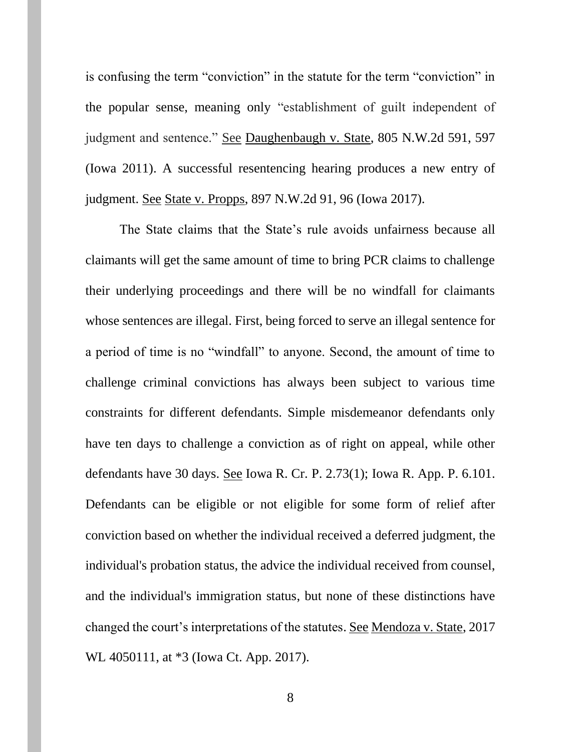is confusing the term "conviction" in the statute for the term "conviction" in the popular sense, meaning only "establishment of guilt independent of judgment and sentence." See Daughenbaugh v. State, 805 N.W.2d 591, 597 (Iowa 2011). A successful resentencing hearing produces a new entry of judgment. See State v. Propps, 897 N.W.2d 91, 96 (Iowa 2017).

The State claims that the State's rule avoids unfairness because all claimants will get the same amount of time to bring PCR claims to challenge their underlying proceedings and there will be no windfall for claimants whose sentences are illegal. First, being forced to serve an illegal sentence for a period of time is no "windfall" to anyone. Second, the amount of time to challenge criminal convictions has always been subject to various time constraints for different defendants. Simple misdemeanor defendants only have ten days to challenge a conviction as of right on appeal, while other defendants have 30 days. See Iowa R. Cr. P. 2.73(1); Iowa R. App. P. 6.101. Defendants can be eligible or not eligible for some form of relief after conviction based on whether the individual received a deferred judgment, the individual's probation status, the advice the individual received from counsel, and the individual's immigration status, but none of these distinctions have changed the court's interpretations of the statutes. See Mendoza v. State, 2017 WL 4050111, at \*3 (Iowa Ct. App. 2017).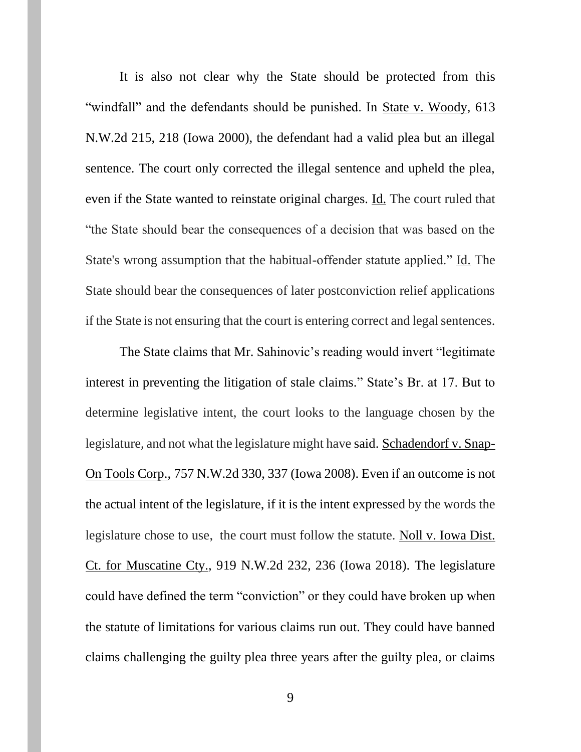It is also not clear why the State should be protected from this "windfall" and the defendants should be punished. In State v. Woody, 613 N.W.2d 215, 218 (Iowa 2000), the defendant had a valid plea but an illegal sentence. The court only corrected the illegal sentence and upheld the plea, even if the State wanted to reinstate original charges. Id. The court ruled that "the State should bear the consequences of a decision that was based on the State's wrong assumption that the habitual-offender statute applied." Id. The State should bear the consequences of later postconviction relief applications if the State is not ensuring that the court is entering correct and legal sentences.

The State claims that Mr. Sahinovic's reading would invert "legitimate interest in preventing the litigation of stale claims." State's Br. at 17. But to determine legislative intent, the court looks to the language chosen by the legislature, and not what the legislature might have said. Schadendorf v. Snap-On Tools Corp., 757 N.W.2d 330, 337 (Iowa 2008). Even if an outcome is not the actual intent of the legislature, if it is the intent expressed by the words the legislature chose to use, the court must follow the statute. Noll v. Iowa Dist. Ct. for Muscatine Cty., 919 N.W.2d 232, 236 (Iowa 2018). The legislature could have defined the term "conviction" or they could have broken up when the statute of limitations for various claims run out. They could have banned claims challenging the guilty plea three years after the guilty plea, or claims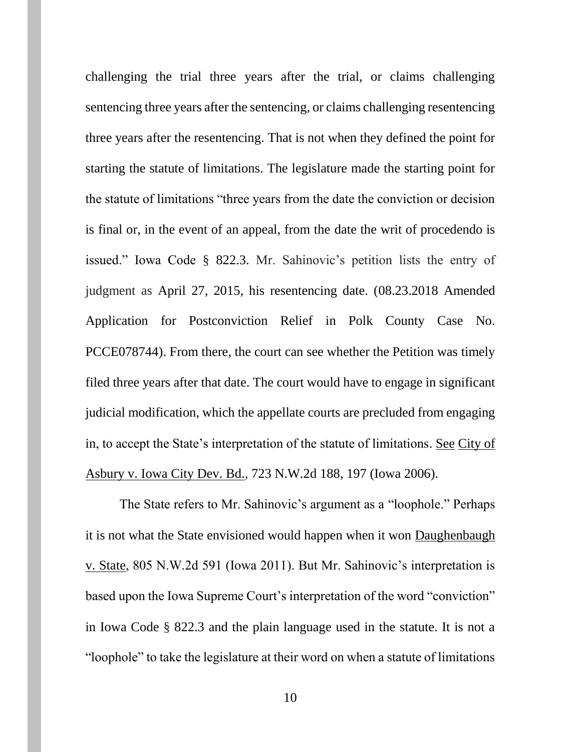challenging the trial three years after the trial, or claims challenging sentencing three years after the sentencing, or claims challenging resentencing three years after the resentencing. That is not when they defined the point for starting the statute of limitations. The legislature made the starting point for the statute of limitations "three years from the date the conviction or decision is final or, in the event of an appeal, from the date the writ of procedendo is issued." Iowa Code § 822.3. Mr. Sahinovic's petition lists the entry of judgment as April 27, 2015, his resentencing date. (08.23.2018 Amended Application for Postconviction Relief in Polk County Case No. PCCE078744). From there, the court can see whether the Petition was timely filed three years after that date. The court would have to engage in significant judicial modification, which the appellate courts are precluded from engaging in, to accept the State's interpretation of the statute of limitations. See City of Asbury v. Iowa City Dev. Bd., 723 N.W.2d 188, 197 (Iowa 2006).

The State refers to Mr. Sahinovic's argument as a "loophole." Perhaps it is not what the State envisioned would happen when it won Daughenbaugh v. State, 805 N.W.2d 591 (Iowa 2011). But Mr. Sahinovic's interpretation is based upon the Iowa Supreme Court's interpretation of the word "conviction" in Iowa Code § 822.3 and the plain language used in the statute. It is not a "loophole" to take the legislature at their word on when a statute of limitations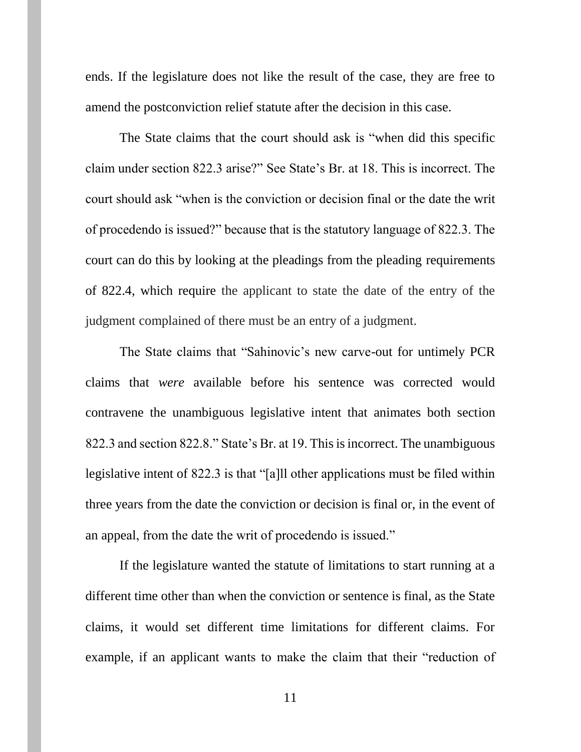ends. If the legislature does not like the result of the case, they are free to amend the postconviction relief statute after the decision in this case.

The State claims that the court should ask is "when did this specific claim under section 822.3 arise?" See State's Br. at 18. This is incorrect. The court should ask "when is the conviction or decision final or the date the writ of procedendo is issued?" because that is the statutory language of 822.3. The court can do this by looking at the pleadings from the pleading requirements of 822.4, which require the applicant to state the date of the entry of the judgment complained of there must be an entry of a judgment.

The State claims that "Sahinovic's new carve-out for untimely PCR claims that *were* available before his sentence was corrected would contravene the unambiguous legislative intent that animates both section 822.3 and section 822.8." State's Br. at 19. This is incorrect. The unambiguous legislative intent of 822.3 is that "[a]ll other applications must be filed within three years from the date the conviction or decision is final or, in the event of an appeal, from the date the writ of procedendo is issued."

If the legislature wanted the statute of limitations to start running at a different time other than when the conviction or sentence is final, as the State claims, it would set different time limitations for different claims. For example, if an applicant wants to make the claim that their "reduction of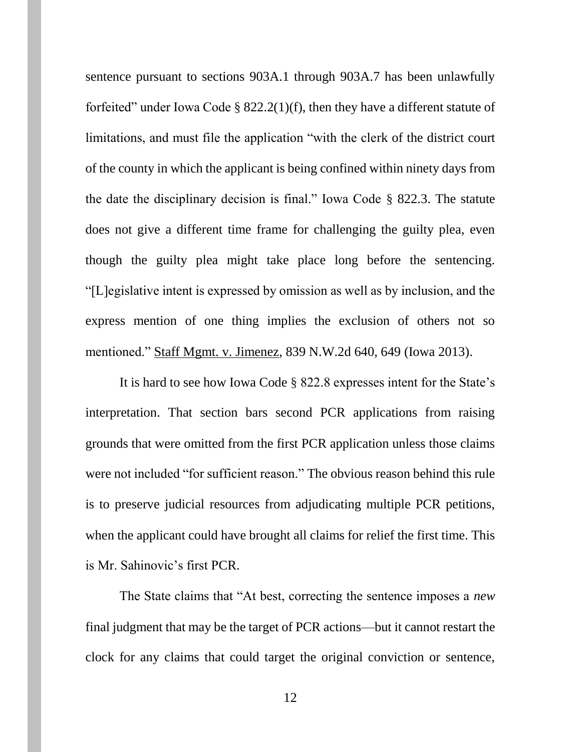sentence pursuant to sections 903A.1 through 903A.7 has been unlawfully forfeited" under Iowa Code § 822.2(1)(f), then they have a different statute of limitations, and must file the application "with the clerk of the district court of the county in which the applicant is being confined within ninety days from the date the disciplinary decision is final." Iowa Code § 822.3. The statute does not give a different time frame for challenging the guilty plea, even though the guilty plea might take place long before the sentencing. "[L]egislative intent is expressed by omission as well as by inclusion, and the express mention of one thing implies the exclusion of others not so mentioned." Staff Mgmt. v. Jimenez, 839 N.W.2d 640, 649 (Iowa 2013).

It is hard to see how Iowa Code § 822.8 expresses intent for the State's interpretation. That section bars second PCR applications from raising grounds that were omitted from the first PCR application unless those claims were not included "for sufficient reason." The obvious reason behind this rule is to preserve judicial resources from adjudicating multiple PCR petitions, when the applicant could have brought all claims for relief the first time. This is Mr. Sahinovic's first PCR.

The State claims that "At best, correcting the sentence imposes a *new*  final judgment that may be the target of PCR actions—but it cannot restart the clock for any claims that could target the original conviction or sentence,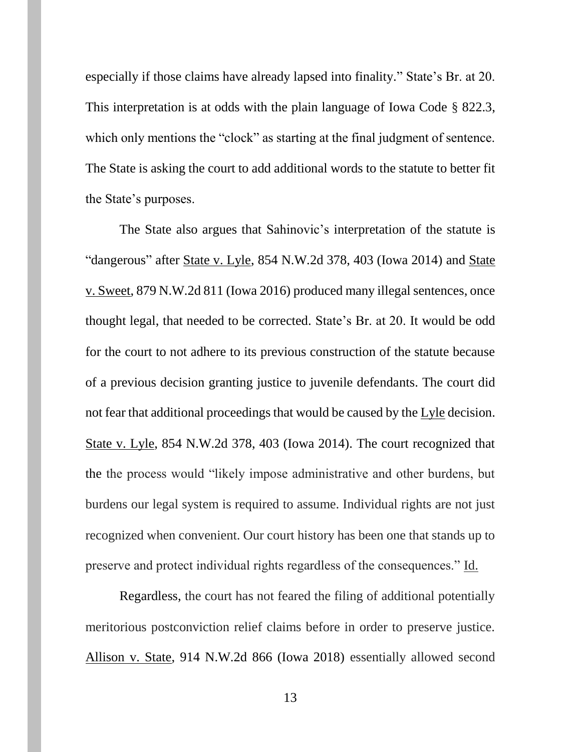especially if those claims have already lapsed into finality." State's Br. at 20. This interpretation is at odds with the plain language of Iowa Code § 822.3, which only mentions the "clock" as starting at the final judgment of sentence. The State is asking the court to add additional words to the statute to better fit the State's purposes.

The State also argues that Sahinovic's interpretation of the statute is "dangerous" after State v. Lyle, 854 N.W.2d 378, 403 (Iowa 2014) and State v. Sweet, 879 N.W.2d 811 (Iowa 2016) produced many illegal sentences, once thought legal, that needed to be corrected. State's Br. at 20. It would be odd for the court to not adhere to its previous construction of the statute because of a previous decision granting justice to juvenile defendants. The court did not fear that additional proceedings that would be caused by the Lyle decision. State v. Lyle, 854 N.W.2d 378, 403 (Iowa 2014). The court recognized that the the process would "likely impose administrative and other burdens, but burdens our legal system is required to assume. Individual rights are not just recognized when convenient. Our court history has been one that stands up to preserve and protect individual rights regardless of the consequences." Id.

Regardless, the court has not feared the filing of additional potentially meritorious postconviction relief claims before in order to preserve justice. Allison v. State, 914 N.W.2d 866 (Iowa 2018) essentially allowed second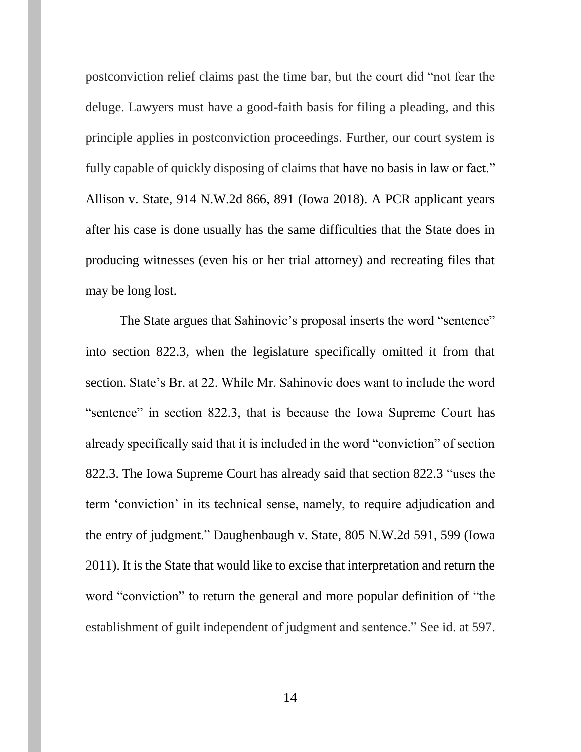postconviction relief claims past the time bar, but the court did "not fear the deluge. Lawyers must have a good-faith basis for filing a pleading, and this principle applies in postconviction proceedings. Further, our court system is fully capable of quickly disposing of claims that have no basis in law or fact." Allison v. State, 914 N.W.2d 866, 891 (Iowa 2018). A PCR applicant years after his case is done usually has the same difficulties that the State does in producing witnesses (even his or her trial attorney) and recreating files that may be long lost.

The State argues that Sahinovic's proposal inserts the word "sentence" into section 822.3, when the legislature specifically omitted it from that section. State's Br. at 22. While Mr. Sahinovic does want to include the word "sentence" in section 822.3, that is because the Iowa Supreme Court has already specifically said that it is included in the word "conviction" of section 822.3. The Iowa Supreme Court has already said that section 822.3 "uses the term 'conviction' in its technical sense, namely, to require adjudication and the entry of judgment." Daughenbaugh v. State, 805 N.W.2d 591, 599 (Iowa 2011). It is the State that would like to excise that interpretation and return the word "conviction" to return the general and more popular definition of "the establishment of guilt independent of judgment and sentence." See id. at 597.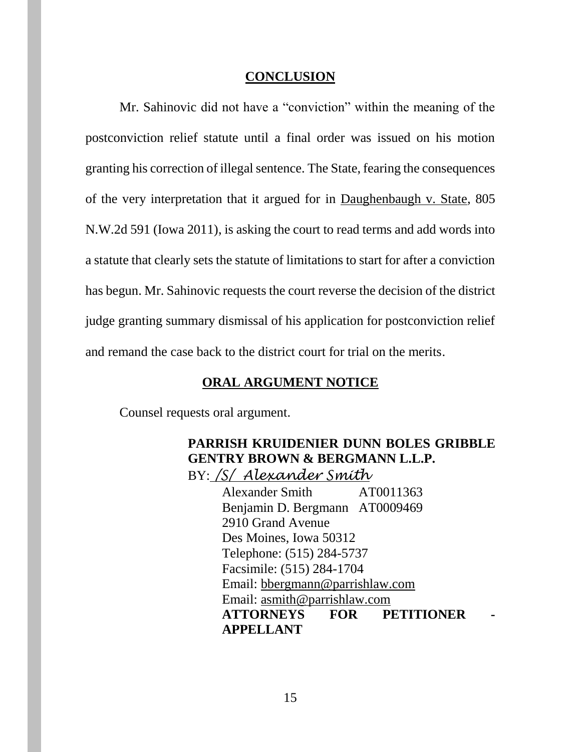#### **CONCLUSION**

Mr. Sahinovic did not have a "conviction" within the meaning of the postconviction relief statute until a final order was issued on his motion granting his correction of illegal sentence. The State, fearing the consequences of the very interpretation that it argued for in Daughenbaugh v. State, 805 N.W.2d 591 (Iowa 2011), is asking the court to read terms and add words into a statute that clearly sets the statute of limitations to start for after a conviction has begun. Mr. Sahinovic requests the court reverse the decision of the district judge granting summary dismissal of his application for postconviction relief and remand the case back to the district court for trial on the merits.

# **ORAL ARGUMENT NOTICE**

Counsel requests oral argument.

## **PARRISH KRUIDENIER DUNN BOLES GRIBBLE GENTRY BROWN & BERGMANN L.L.P.** BY: */S/ Alexander Smith*

Alexander Smith AT0011363 Benjamin D. Bergmann AT0009469 2910 Grand Avenue Des Moines, Iowa 50312 Telephone: (515) 284-5737 Facsimile: (515) 284-1704 Email: [bbergmann@parrishlaw.com](mailto:bbergmann@parrishlaw.com)  Email: [asmith@parrishlaw.com](mailto:asmith@parrishlaw.com) **ATTORNEYS FOR PETITIONER - APPELLANT**